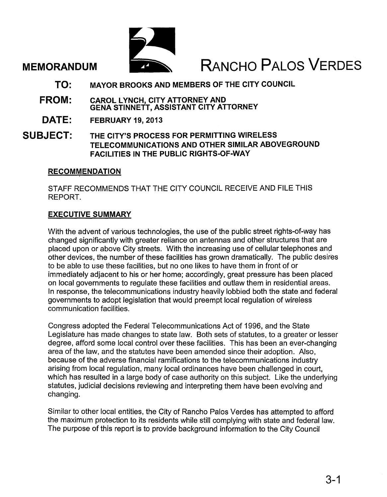## MEMORANDUM

# RANCHO PALOS VERDES

- MAYOR BROOKS AND MEMBERS OF THE CITY COUNCIL TO:
- CAROL LYNCH, CITY ATTORNEY AND GENA STINNETT, ASSISTANT CITY ATTORNEY FROM:
- FEBRUARY 19, 2013 DATE:
- THE CITY'S PROCESS FOR PERMITTING WIRELESS TELECOMMUNICATIONS AND OTHER SIMILAR ABOVEGROUND FACILITIES IN THE PUBLIC RIGHTS-OF-WAY SUBJECT:

#### **RECOMMENDATION**

STAFF RECOMMENDS THAT THE CITY COUNCIL RECEIVE AND FILE THIS REPORT.

### EXECUTIVE SUMMARY

With the advent of various technologies, the use of the public street rights-of-way has changed significantly with greater reliance on antennas and other structures that are placed upon or above City streets. With the increasing use of cellular telephones and other devices, the number of these facilities has grown dramatically. The public desires to be able to use these facilities, but no one likes to have them in front of or immediately adjacent to his or her home; accordingly, great pressure has been placed on local governments to regulate these facilities and outlaw them in residential areas. In response, the telecommunications industry heavily lobbied both the state and federal governments to adopt legislation that would preempt local regulation of wireless communication facilities.

Congress adopted the Federal Telecommunications Act of 1996, and the State Legislature has made changes to state law. Both sets of statutes, to a greater or lesser degree, afford some local control over these facilities. This has been an ever-changing area of the law, and the statutes have been amended since their adoption. Also, because of the adverse financial ramifications to the telecommunications industry arising from local regulation, many local ordinances have been challenged in court, which has resulted in a large body of case authority on this subject. Like the underlying statutes, judicial decisions reviewing and interpreting them have been evolving and changing.

Similar to other local entities, the City of Rancho Palos Verdes has attempted to afford the maximum protection to its residents while still complying with state and federal law. The purpose of this report is to provide background information to the City Council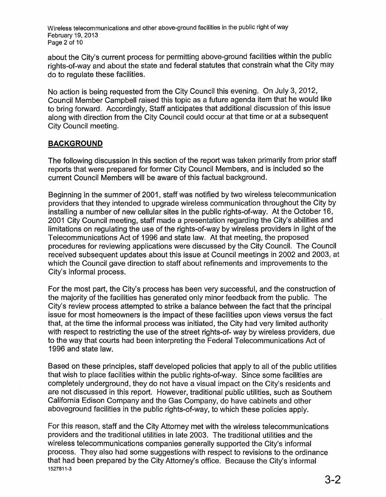Wireless telecommunications and other above-ground facilities in the public right of way February 19, 2013 Page 2 of 10

about the City's current process for permitting above-ground facilities within the public rights-of-way and about the state and federal statutes that constrain what the City may do to regulate these facilities.

No action is being requested from the City Council this evening. On July 3, 2012, Council Member Campbell raised this topic as a future agenda item that he would like to bring forward. Accordingly, Staff anticipates that additional discussion of this issue along with direction from the City Council could occur at that time or at a subsequent City Council meeting.

#### **BACKGROUND**

The following discussion in this section of the report was taken primarily from prior staff reports that were prepared for former City Council Members, and is included so the current Council Members will be aware of this factual background.

Beginning in the summer of 2001, staff was notified by two wireless telecommunication providers that they intended to upgrade wireless communication throughout the City by installing a number of new cellular sites in the public rights-of-way. At the October 16, 2001 City Council meeting, staff made a presentation regarding the City's abilities and limitations on regulating the use of the rights-of-way by wireless providers in light of the Telecommunications Act of 1996 and state law. At that meeting, the proposed procedures for reviewing applications were discussed by the City Council. The Council received subsequent updates about this issue at Council meetings in 2002 and 2003, at which the Council gave direction to staff about refinements and improvements to the City's informal process.

For the most part, the City's process has been very successful, and the construction of the majority of the facilities has generated only minor feedback from the public. The City's review process attempted to strike a balance between the fact that the principal issue for most homeowners is the impact of these facilities upon views versus the fact that, at the time the informal process was initiated, the City had very limited authority with respect to restricting the use of the street rights-of- way by wireless providers, due to the way that courts had been interpreting the Federal Telecommunications Act of 1996 and state law.

Based on these principles, staff developed policies that apply to all of the public utilities that wish to place facilities within the public rights-of-way. Since some facilities are completely underground, they do not have a visual impact on the City's residents and are not discussed in this report. However, traditional public utilities, such as Southern California Edison Company and the Gas Company, do have cabinets and other aboveground facilities in the public rights-of-way, to which these policies apply.

For this reason, staff and the City Attorney met with the wireless telecommunications providers and the traditional utilities in late 2003. The traditional utilities and the wireless telecommunications companies generally supported the City's informal process. They also had some suggestions with respect to revisions to the ordinance that had been prepared by the City Attorney's office. Because the City's informal 1527811-3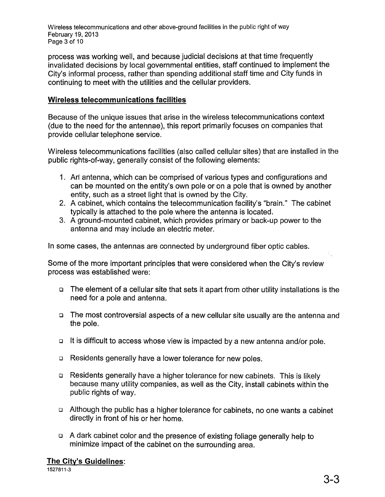Wireless telecommunications and other above-ground facilities in the public right of way February 19, 2013 Page 3 of 10

process was working well, and because judicial decisions at that time frequently invalidated decisions by local governmental entities, staff continued to implement the City's informal process, rather than spending additional staff time and City funds in continuing to meet with the utilities and the cellular providers.

#### Wireless telecommunications facilities

Because of the unique issues that arise in the wireless telecommunications context (due to the need for the antennae), this report primarily focuses on companies that provide cellular telephone service.

Wireless telecommunications facilities (also called cellular sites) that are installed in the public rights-of-way, generally consist of the following elements:

- 1. An antenna, which can be comprised of various types and configurations and can be mounted on the entity's own pole or on a pole that is owned by another entity, such as a street light that is owned by the City.
- 2. A cabinet, which contains the telecommunication facility's "brain." The cabinet typically is attached to the pole where the antenna is located.
- 3. A ground-mounted cabinet, which provides primary or back-up power to the antenna and may include an electric meter.

In some cases, the antennas are connected by underground fiber optic cables.

Some of the more important principles that were considered when the City's review process was established were:

- o The element of a cellular site that sets it apart from other utility installations is the need for a pole and antenna.
- o The most controversial aspects of a new cellular site usually are the antenna and the pole.
- o It is difficult to access whose view is impacted by a new antenna and/or pole.
- o Residents generally have a lower tolerance for new poles.
- o Residents generally have a higher tolerance for new cabinets. This is likely because many utility companies, as well as the City, install cabinets within the public rights of way.
- o Although the public has a higher tolerance for cabinets, no one wants a cabinet directly in front of his or her home.
- o A dark cabinet color and the presence of existing foliage generally help to minimize impact of the cabinet on the surrounding area.

#### The City's Guidelines:

1527811-3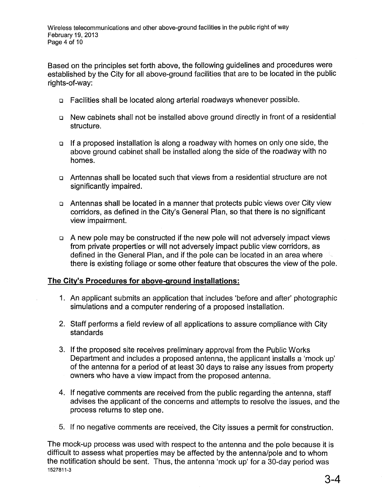Based on the principles set forth above, the following guidelines and procedures were established by the City for all above-ground facilities that are to be located in the public rights-of-way:

- <sup>D</sup> Facilities shall be located along arterial roadways whenever possible.
- <sup>D</sup> New cabinets shall not be installed above ground directly in front of a residential structure.
- <sup>D</sup> If a proposed installation is along a roadway with homes on only one side, the above ground cabinet shall be installed along the side of the roadway with no homes.
- <sup>D</sup> Antennas shall be located such that views from a residential structure are not significantly impaired.
- D Antennas shall be located in a manner that protects pubic views over City view corridors, as defined in the City's General Plan, so that there is no significant view impairment.
- D A new pole may be constructed if the new pole will not adversely impact views from private properties or will not adversely impact public view corridors, as defined in the General Plan, and if the pole can be located in an area where there is existing foliage or some other feature that obscures the view of the pole.

#### **The City's Procedures for above-ground installations:**

- 1. An applicant submits an application that includes 'before and after' photographic simulations and a computer rendering of a proposed installation.
- 2. Staff performs a field review of all applications to assure compliance with City standards
- 3. If the proposed site receives preliminary approval from the Public Works Department and includes a proposed antenna, the applicant installs a 'mock up' of the antenna for a period of at least 30 days to raise any issues from property owners who have a view impact from the proposed antenna.
- 4. If negative comments are received from the public regarding the antenna, staff advises the applicant of the concerns and attempts to resolve the issues, and the process returns to step one.
- 5. If no negative comments are received, the City issues a permit for construction.

The mock-up process was used with respect to the antenna and the pole because it is difficult to assess what properties may be affected by the antenna/pole and to whom the notification should be sent. Thus, the antenna 'mock up' for a 30-day period was 1527811-3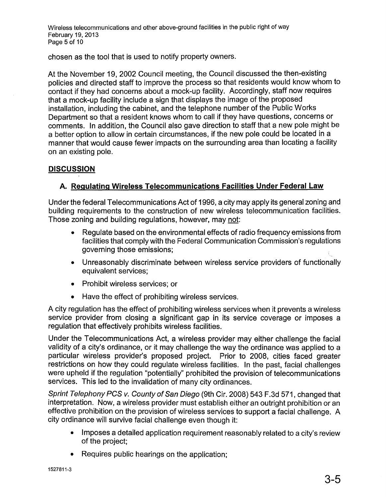Wireless telecommunications and other above-ground facilities in the public right of way February 19, 2013 Page 5 of 10

chosen as the tool that is used to notify property owners.

At the November 19, 2002 Council meeting, the Council discussed the then-existing policies and directed staff to improve the process so that residents would know whom to contact if they had concerns about a mock-up facility. Accordingly, staff now requires that a mock-up facility include a sign that displays the image of the proposed installation, including the cabinet, and the telephone number of the Public Works Department so that a resident knows whom to call if they have questions, concerns or comments. In addition, the Council also gave direction to staff that a new pole might be a better option to allow in certain circumstances, if the new pole could be located in a manner that would cause fewer impacts on the surrounding area than locating a facility on an existing pole.

#### **DISCUSSION**

#### **A. Regulating Wireless Telecommunications Facilities Under Federal Law**

Under the federal Telecommunications Act of 1996, a city may apply its general zoning and building requirements to the construction of new wireless telecommunication facilities. Those zoning and building regulations, however, may not:

- Regulate based on the environmental effects of radio frequency emissions from facilities that comply with the Federal Communication Commission's regulations governing those emissions;
- Unreasonably discriminate between wireless service providers of functionally equivalent services;
- Prohibit wireless services; or
- Have the effect of prohibiting wireless services.

A city regulation has the effect of prohibiting wireless services when it prevents a wireless service provider from closing a significant gap in its service coverage or imposes a regulation that effectively prohibits wireless facilities.

Under the Telecommunications Act, a wireless provider may either challenge the facial validity of a city's ordinance, or it may challenge the way the ordinance was applied to a particular wireless provider's proposed project. Prior to 2008, cities faced greater restrictions on how they could regulate wireless facilities. In the past, facial challenges were upheld if the regulation "potentially" prohibited the provision of telecommunications services. This led to the invalidation of many city ordinances.

Sprint Telephony PCS v. County of San Diego (9th Cir. 2008) 543 F.3d 571, changed that interpretation. Now, a wireless provider must establish either an outright prohibition or an effective prohibition on the provision of wireless services to support a facial challenge. A city ordinance will survive facial challenge even though it:

- Imposes a detailed application requirement reasonably related to a city's review of the project;
- Requires public hearings on the application;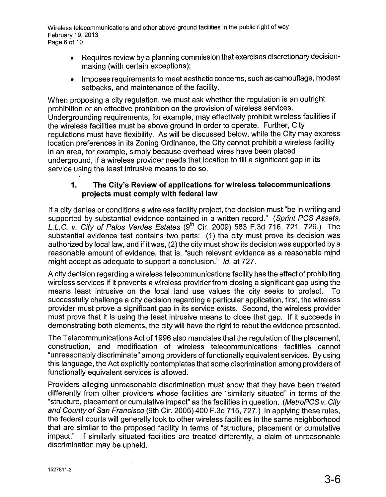Wireless telecommunications and other above-ground facilities in the public right of way February 19, 2013 Page 6 of 10

- Requires review by a planning commission that exercises discretionary decisionmaking (with certain exceptions);
- Imposes requirements to meet aesthetic concerns, such as camouflage, modest setbacks, and maintenance of the facility.

When proposing a city regulation, we must ask whether the regulation is an outright prohibition or an effective prohibition on the provision of wireless services. Undergrounding requirements, for example, may effectively prohibit wireless facilities if the wireless facilities must be above ground in order to operate. Further, City regulations must have flexibility. As will be discussed below, while the City may express location preferences in its Zoning Ordinance, the City cannot prohibit a wireless facility in an area, for example, simply because overhead wires have been placed underground, if a wireless provider needs that location to fill a significant gap in its service using the least intrusive means to do so.

#### 1. The City's Review of applications for wireless telecommunications projects must comply with federal law

If a city denies or conditions a wireless facility project, the decision must "be in writing and supported by substantial evidence contained in a written record." (Sprint PCS Assets, L.L.C. v. City of Palos Verdes Estates  $(9<sup>th</sup>$  Cir. 2009) 583 F.3d 716, 721, 726.) The substantial evidence test contains two parts: (1) the city must prove its decision was authorized by local law, and if it was, (2) the city must show its decision was supported by a reasonable amount of evidence, that is, "such relevant evidence as a reasonable mind might accept as adequate to support a conclusion." Id. at 727.

A city decision regarding a wireless telecommunications facility has the effect of prohibiting wireless services if it prevents a wireless provider from closing a significant gap using the means least intrusive on the local land use values the city seeks to protect. To successfully challenge a city decision regarding a particular application, first, the wireless provider must prove a significant gap in its service exists. Second, the wireless provider must prove that it is using the least intrusive means to close that gap. If it succeeds in demonstrating both elements, the city will have the right to rebut the evidence presented.

The Telecommunications Act of 1996 also mandates that the regulation of the placement, construction, and modification of wireless telecommunications facilities cannot "unreasonably discriminate" among providers of functionally equivalent services. By using this language, the Act explicitly contemplates that some discrimination among providers of functionally equivalent services is allowed.

Providers alleging unreasonable discrimination must show that they have been treated differently from other providers whose facilities are "similarly situated" in terms of the "structure, placement or cumulative impact" as the facilities in question. (MetroPCS v. City and County of San Francisco (9th Cir. 2005) 400 F.3d 715, 727.) In applying these rules, the federal courts will generally look to other wireless facilities in the same neighborhood that are similar to the proposed facility in terms of "structure, placement or cumulative impact." If similarly situated facilities are treated differently, a claim of unreasonable discrimination may be upheld.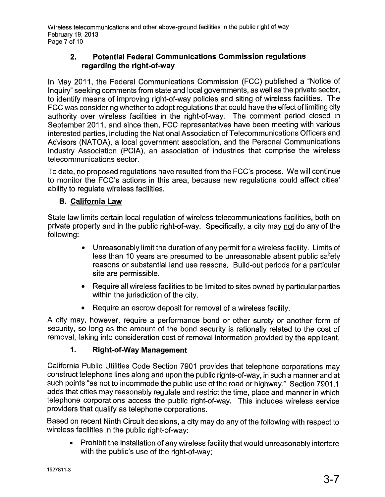Wireless telecommunications and other above-ground facilities in the public right of way February 19, 2013 Page 7 of 10

#### 2. Potential Federal Communications Commission regulations regarding the right-of-way

In May 2011, the Federal Communications Commission (FCC) published a "Notice of Inquiry" seeking comments from state and local governments, as well as the private sector, to identify means of improving right-of-way policies and siting of wireless facilities. The FCC was considering whether to adopt regulations that could have the effect of limiting city authority over wireless facilities in the right-of-way. The comment period closed in September 2011, and since then, FCC representatives have been meeting with various interested parties, including the National Association of Telecommunications Officers and Advisors (NATOA), a local government association, and the Personal Communications Industry Association (PCIA), an association of industries that comprise the wireless telecommunications sector.

To date, no proposed regulations have resulted from the FCC's process. We will continue to monitor the FCC's actions in this area, because new regulations could affect cities' ability to regulate wireless facilities.

#### B. California Law

State law limits certain local regulation of wireless telecommunications facilities, both on private property and in the public right-of-way. Specifically, a city may not do any of the following:

- Unreasonably limit the duration of any permit for a wireless facility. Limits of less than 10 years are presumed to be unreasonable absent public safety reasons or substantial land use reasons. Build-out periods for a particular site are permissible.
- Require all wireless facilities to be limited to sites owned by particular parties within the jurisdiction of the city.
- Require an escrow deposit for removal of a wireless facility.

A city may, however, require a performance bond or other surety or another form of security, so long as the amount of the bond security is rationally related to the cost of removal, taking into consideration cost of removal information provided by the applicant.

### 1. Right-of-Way Management

California Public Utilities Code Section 7901 provides that telephone corporations may construct telephone lines along and upon the public rights-of-way, in such a manner and at such points "as not to incommode the public use of the road or highway." Section 7901.1 adds that cities may reasonably regulate and restrict the time, place and manner in which telephone corporations access the public right-of-way. This includes wireless service providers that qualify as telephone corporations.

Based on recent Ninth Circuit decisions, a city may do any of the following with respect to wireless facilities in the public right-of-way:

• Prohibit the installation of any wireless facility that would unreasonably interfere with the public's use of the right-of-way;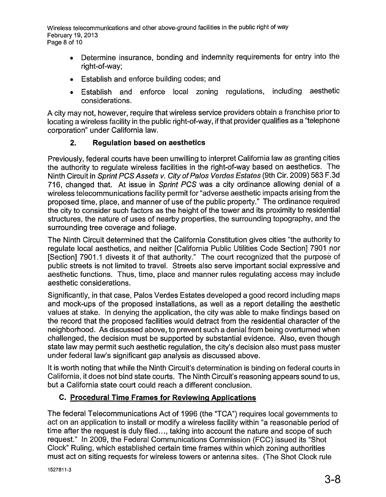Wireless telecommunications and other above-ground facilities in the public right of way February 19, 2013 Page 8 of 10

- Determine insurance, bonding and indemnity requirements for entry into the right-of-way;
- Establish and enforce building codes; and
- Establish and enforce local zoning regulations, including aesthetic considerations.

A city may not, however, require that wireless service providers obtain a franchise prior to locating a wireless facility in the public right-of-way, if that provider qualifies as a "telephone corporation" under California law.

#### **2. Regulation based on aesthetics**

Previously, federal courts have been unwilling to interpret California law as granting cities the authority to regulate wireless facilities in the right-of-way based on aesthetics. The Ninth Circuit in Sprint PCS Assets v. City of Palos Verdes Estates (9th Cir. 2009) 583 F.3d 716, changed that. At issue in Sprint PCS was a city ordinance allowing denial of a wireless telecommunications facility permit for "adverse aesthetic impacts arising from the proposed time, place, and manner of use of the public property." The ordinance required the city to consider such factors as the height of the tower and its proximity to residential structures, the nature of uses of nearby properties, the surrounding topography, and the surrounding tree coverage and foliage.

The Ninth Circuit determined that the California Constitution gives cities "the authority to regulate local aesthetics, and neither [California Public Utilities Code Section] 7901 nor [Section] 7901.1 divests it of that authority." The court recognized that the purpose of public streets is not limited to travel. Streets also serve important social expressive and aesthetic functions. Thus, time, place and manner rules regulating access may include aesthetic considerations.

Significantly, in that case, Palos Verdes Estates developed a good record including maps and mock-ups of the proposed installations, as well as a report detailing the aesthetic values at stake. In denying the application, the city was able to make findings based on the record that the proposed facilities would detract from the residential character of the neighborhood. As discussed above, to prevent such a denial from being overturned when challenged, the decision must be supported by substantial evidence. Also, even though state law may permit such aesthetic regulation, the city's decision also must pass muster under federal law's significant gap analysis as discussed above.

It is worth noting that while the Ninth Circuit's determination is binding on federal courts in California, it does not bind state courts. The Ninth Circuit's reasoning appears sound to us, but a California state court could reach a different conclusion.

#### **c. Procedural Time Frames for Reviewing Applications**

The federal Telecommunications Act of 1996 (the "TCA") requires local governments to act on an application to install or modify a wireless facility within "a reasonable period of time after the request is duly filed ..., taking into account the nature and scope of such request." In 2009, the Federal Communications Commission (FCC) issued its "Shot Clock" Ruling, which established certain time frames within which zoning authorities must act on siting requests for wireless towers or antenna sites. (The Shot Clock rule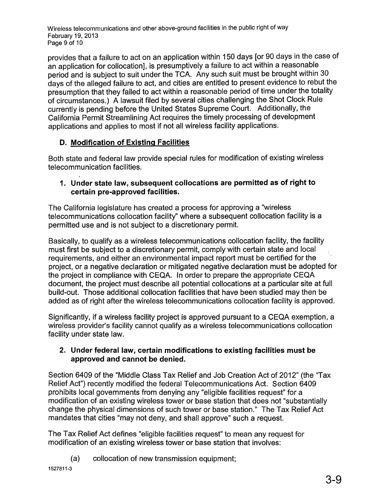Wireless telecommunications and other above-ground facilities in the public right of way February 19, 2013 Page 9 of 10

provides that a failure to act on an application within 150 days [or 90 days in the case of an application for collocation], is presumptively a failure to act within a reasonable period and is subject to suit under the TCA. Any such suit must be brought within 30 days of the alleged failure to act, and cities are entitled to present evidence to rebut the presumption that they failed to act within a reasonable period of time under the totality of circumstances.) A lawsuit filed by several cities challenging the Shot Clock Rule currently is pending before the United States Supreme Court. Additionally, the California Permit Streamlining Act requires the timely processing of development applications and applies to most if not all wireless facility applications.

#### D. Modification of Existing Facilities

Both state and federal law provide special rules for modification of existing wireless telecommunication facilities.

#### 1. Under state law, subsequent collocations are permitted as of right to certain pre-approved facilities.

The California legislature has created a process for approving a "wireless telecommunications collocation facility" where a subsequent collocation facility is a permitted use and is not subject to a discretionary permit.

Basically, to qualify as a wireless telecommunications collocation facility, the facility must first be subject to a discretionary permit, comply with certain state and local requirements, and either an environmental impact report must be certified for the project, or a negative declaration or mitigated negative declaration must be adopted for the project in compliance with CEQA. In order to prepare the appropriate CEQA document, the project must describe all potential collocations at a particular site at full build-out. Those additional collocation facilities that have been studied may then be added as of right after the wireless telecommunications collocation facility is approved.

Significantly, if a wireless facility project is approved pursuant to a CEQA exemption, a wireless provider's facility cannot qualify as a wireless telecommunications collocation facility under state law.

#### 2. Under federal law, certain modifications to existing facilities must be approved and cannot be denied.

Section 6409 of the "Middle Class Tax Relief and Job Creation Act of 2012" (the "Tax Relief Act") recently modified the federal Telecommunications Act. Section 6409 prohibits local governments from denying any "eligible facilities request" for a modification of an existing wireless tower or base station that does not "substantially change the physical dimensions of such tower or base station." The Tax Relief Act mandates that cities "may not deny, and shall approve" such a request.

The Tax Relief Act defines "eligible facilities request" to mean any request for modification of an existing wireless tower or base station that involves:

(a) collocation of new transmission equipment;

1527811-3